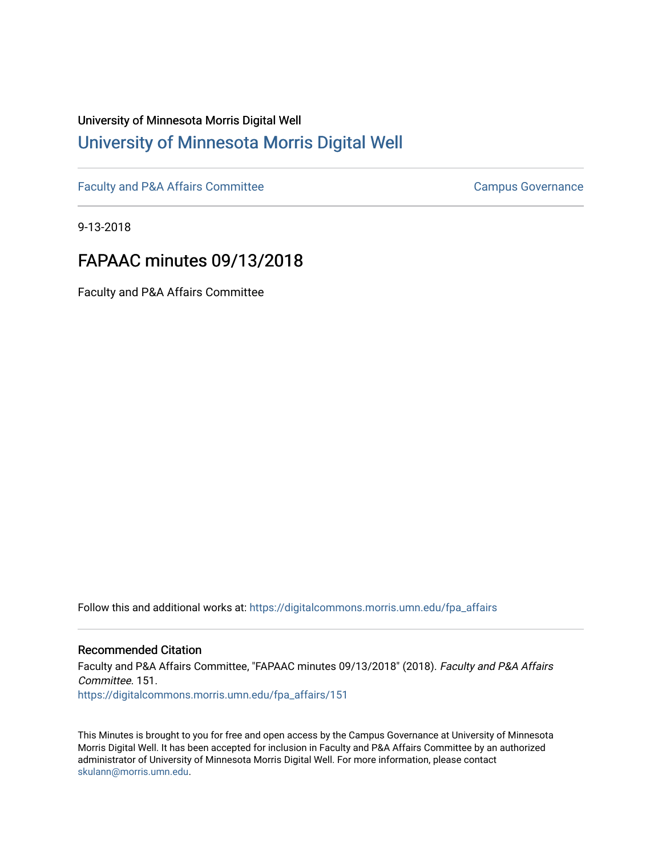# University of Minnesota Morris Digital Well [University of Minnesota Morris Digital Well](https://digitalcommons.morris.umn.edu/)

[Faculty and P&A Affairs Committee](https://digitalcommons.morris.umn.edu/fpa_affairs) [Campus Governance](https://digitalcommons.morris.umn.edu/campgov) Campus Governance

9-13-2018

# FAPAAC minutes 09/13/2018

Faculty and P&A Affairs Committee

Follow this and additional works at: [https://digitalcommons.morris.umn.edu/fpa\\_affairs](https://digitalcommons.morris.umn.edu/fpa_affairs?utm_source=digitalcommons.morris.umn.edu%2Ffpa_affairs%2F151&utm_medium=PDF&utm_campaign=PDFCoverPages)

## Recommended Citation

Faculty and P&A Affairs Committee, "FAPAAC minutes 09/13/2018" (2018). Faculty and P&A Affairs Committee. 151.

[https://digitalcommons.morris.umn.edu/fpa\\_affairs/151](https://digitalcommons.morris.umn.edu/fpa_affairs/151?utm_source=digitalcommons.morris.umn.edu%2Ffpa_affairs%2F151&utm_medium=PDF&utm_campaign=PDFCoverPages)

This Minutes is brought to you for free and open access by the Campus Governance at University of Minnesota Morris Digital Well. It has been accepted for inclusion in Faculty and P&A Affairs Committee by an authorized administrator of University of Minnesota Morris Digital Well. For more information, please contact [skulann@morris.umn.edu.](mailto:skulann@morris.umn.edu)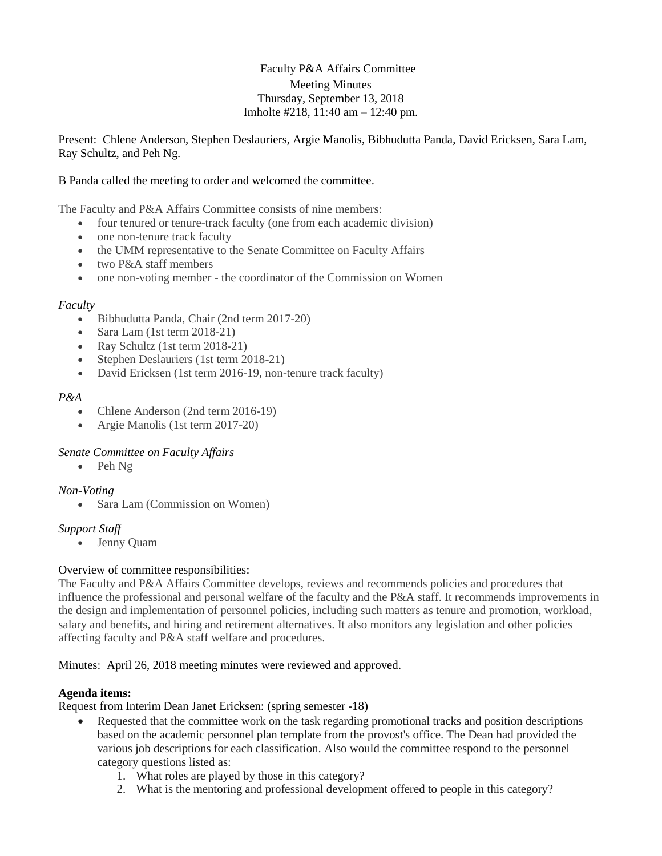# Faculty P&A Affairs Committee Meeting Minutes Thursday, September 13, 2018 Imholte #218, 11:40 am – 12:40 pm.

Present: Chlene Anderson, Stephen Deslauriers, Argie Manolis, Bibhudutta Panda, David Ericksen, Sara Lam, Ray Schultz, and Peh Ng.

## B Panda called the meeting to order and welcomed the committee.

The Faculty and P&A Affairs Committee consists of nine members:

- four tenured or tenure-track faculty (one from each academic division)
- one non-tenure track faculty
- the UMM representative to the Senate Committee on Faculty Affairs
- two P&A staff members
- one non-voting member the coordinator of the Commission on Women

#### *Faculty*

- Bibhudutta Panda, Chair (2nd term 2017-20)
- Sara Lam (1st term 2018-21)
- Ray Schultz (1st term 2018-21)
- Stephen Deslauriers (1st term 2018-21)
- David Ericksen (1st term 2016-19, non-tenure track faculty)

#### *P&A*

- Chlene Anderson (2nd term 2016-19)
- Argie Manolis (1st term 2017-20)

#### *Senate Committee on Faculty Affairs*

 $\bullet$  Peh Ng

#### *Non-Voting*

Sara Lam (Commission on Women)

## *Support Staff*

Jenny Quam

## Overview of committee responsibilities:

The Faculty and P&A Affairs Committee develops, reviews and recommends policies and procedures that influence the professional and personal welfare of the faculty and the P&A staff. It recommends improvements in the design and implementation of personnel policies, including such matters as tenure and promotion, workload, salary and benefits, and hiring and retirement alternatives. It also monitors any legislation and other policies affecting faculty and P&A staff welfare and procedures.

Minutes: April 26, 2018 meeting minutes were reviewed and approved.

## **Agenda items:**

Request from Interim Dean Janet Ericksen: (spring semester -18)

- Requested that the committee work on the task regarding promotional tracks and position descriptions based on the academic personnel plan template from the provost's office. The Dean had provided the various job descriptions for each classification. Also would the committee respond to the personnel category questions listed as:
	- 1. What roles are played by those in this category?
	- 2. What is the mentoring and professional development offered to people in this category?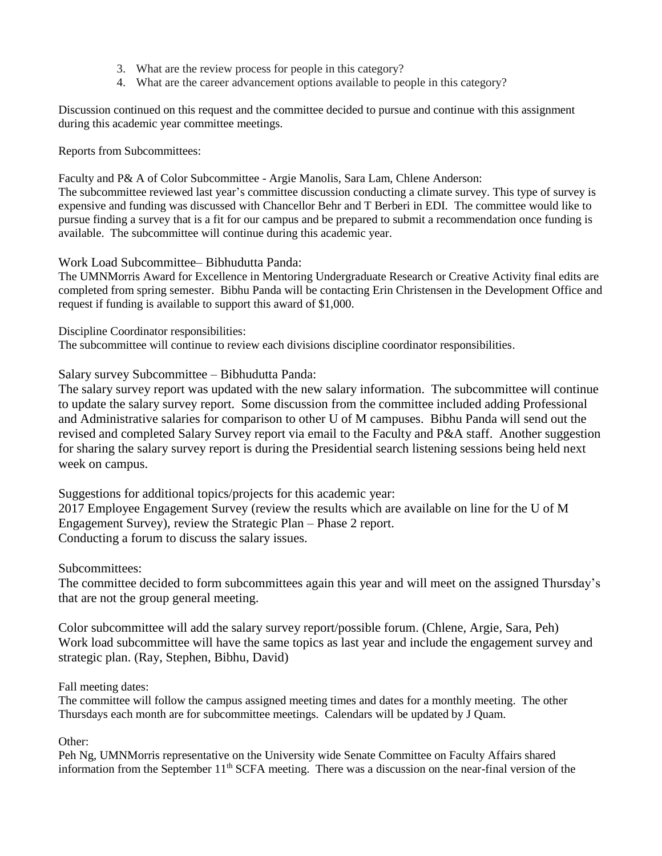- 3. What are the review process for people in this category?
- 4. What are the career advancement options available to people in this category?

Discussion continued on this request and the committee decided to pursue and continue with this assignment during this academic year committee meetings.

Reports from Subcommittees:

Faculty and P& A of Color Subcommittee - Argie Manolis, Sara Lam, Chlene Anderson:

The subcommittee reviewed last year's committee discussion conducting a climate survey. This type of survey is expensive and funding was discussed with Chancellor Behr and T Berberi in EDI. The committee would like to pursue finding a survey that is a fit for our campus and be prepared to submit a recommendation once funding is available. The subcommittee will continue during this academic year.

## Work Load Subcommittee– Bibhudutta Panda:

The UMNMorris Award for Excellence in Mentoring Undergraduate Research or Creative Activity final edits are completed from spring semester. Bibhu Panda will be contacting Erin Christensen in the Development Office and request if funding is available to support this award of \$1,000.

Discipline Coordinator responsibilities:

The subcommittee will continue to review each divisions discipline coordinator responsibilities.

## Salary survey Subcommittee – Bibhudutta Panda:

The salary survey report was updated with the new salary information. The subcommittee will continue to update the salary survey report. Some discussion from the committee included adding Professional and Administrative salaries for comparison to other U of M campuses. Bibhu Panda will send out the revised and completed Salary Survey report via email to the Faculty and P&A staff. Another suggestion for sharing the salary survey report is during the Presidential search listening sessions being held next week on campus.

Suggestions for additional topics/projects for this academic year: 2017 Employee Engagement Survey (review the results which are available on line for the U of M Engagement Survey), review the Strategic Plan – Phase 2 report. Conducting a forum to discuss the salary issues.

## Subcommittees:

The committee decided to form subcommittees again this year and will meet on the assigned Thursday's that are not the group general meeting.

Color subcommittee will add the salary survey report/possible forum. (Chlene, Argie, Sara, Peh) Work load subcommittee will have the same topics as last year and include the engagement survey and strategic plan. (Ray, Stephen, Bibhu, David)

## Fall meeting dates:

The committee will follow the campus assigned meeting times and dates for a monthly meeting. The other Thursdays each month are for subcommittee meetings. Calendars will be updated by J Quam.

## Other:

Peh Ng, UMNMorris representative on the University wide Senate Committee on Faculty Affairs shared information from the September 11<sup>th</sup> SCFA meeting. There was a discussion on the near-final version of the